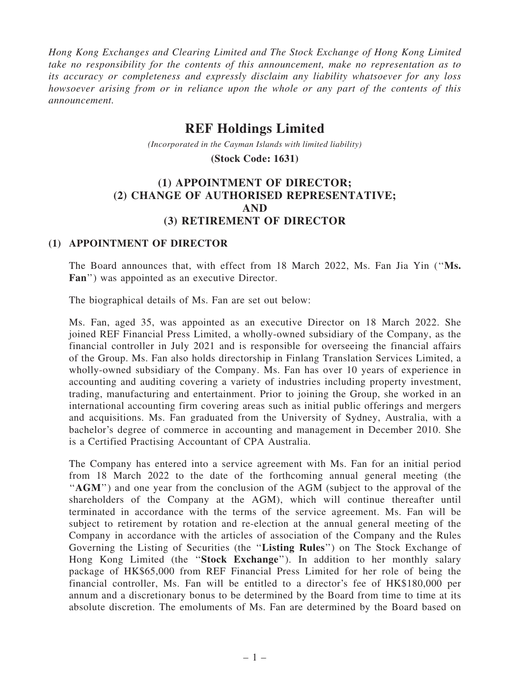Hong Kong Exchanges and Clearing Limited and The Stock Exchange of Hong Kong Limited take no responsibility for the contents of this announcement, make no representation as to its accuracy or completeness and expressly disclaim any liability whatsoever for any loss howsoever arising from or in reliance upon the whole or any part of the contents of this announcement.

# **REF Holdings Limited**

*(Incorporated in the Cayman Islands with limited liability)*

**(Stock Code: 1631)**

## (1) APPOINTMENT OF DIRECTOR; (2) CHANGE OF AUTHORISED REPRESENTATIVE; AND (3) RETIREMENT OF DIRECTOR

#### (1) APPOINTMENT OF DIRECTOR

The Board announces that, with effect from 18 March 2022, Ms. Fan Jia Yin (''Ms. Fan'') was appointed as an executive Director.

The biographical details of Ms. Fan are set out below:

Ms. Fan, aged 35, was appointed as an executive Director on 18 March 2022. She joined REF Financial Press Limited, a wholly-owned subsidiary of the Company, as the financial controller in July 2021 and is responsible for overseeing the financial affairs of the Group. Ms. Fan also holds directorship in Finlang Translation Services Limited, a wholly-owned subsidiary of the Company. Ms. Fan has over 10 years of experience in accounting and auditing covering a variety of industries including property investment, trading, manufacturing and entertainment. Prior to joining the Group, she worked in an international accounting firm covering areas such as initial public offerings and mergers and acquisitions. Ms. Fan graduated from the University of Sydney, Australia, with a bachelor's degree of commerce in accounting and management in December 2010. She is a Certified Practising Accountant of CPA Australia.

The Company has entered into a service agreement with Ms. Fan for an initial period from 18 March 2022 to the date of the forthcoming annual general meeting (the ''AGM'') and one year from the conclusion of the AGM (subject to the approval of the shareholders of the Company at the AGM), which will continue thereafter until terminated in accordance with the terms of the service agreement. Ms. Fan will be subject to retirement by rotation and re-election at the annual general meeting of the Company in accordance with the articles of association of the Company and the Rules Governing the Listing of Securities (the ''Listing Rules'') on The Stock Exchange of Hong Kong Limited (the "Stock Exchange"). In addition to her monthly salary package of HK\$65,000 from REF Financial Press Limited for her role of being the financial controller, Ms. Fan will be entitled to a director's fee of HK\$180,000 per annum and a discretionary bonus to be determined by the Board from time to time at its absolute discretion. The emoluments of Ms. Fan are determined by the Board based on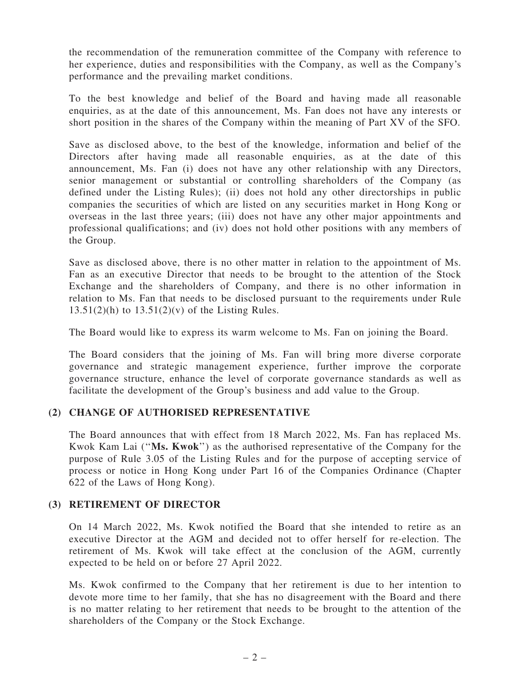the recommendation of the remuneration committee of the Company with reference to her experience, duties and responsibilities with the Company, as well as the Company's performance and the prevailing market conditions.

To the best knowledge and belief of the Board and having made all reasonable enquiries, as at the date of this announcement, Ms. Fan does not have any interests or short position in the shares of the Company within the meaning of Part XV of the SFO.

Save as disclosed above, to the best of the knowledge, information and belief of the Directors after having made all reasonable enquiries, as at the date of this announcement, Ms. Fan (i) does not have any other relationship with any Directors, senior management or substantial or controlling shareholders of the Company (as defined under the Listing Rules); (ii) does not hold any other directorships in public companies the securities of which are listed on any securities market in Hong Kong or overseas in the last three years; (iii) does not have any other major appointments and professional qualifications; and (iv) does not hold other positions with any members of the Group.

Save as disclosed above, there is no other matter in relation to the appointment of Ms. Fan as an executive Director that needs to be brought to the attention of the Stock Exchange and the shareholders of Company, and there is no other information in relation to Ms. Fan that needs to be disclosed pursuant to the requirements under Rule  $13.51(2)$ (h) to  $13.51(2)$ (v) of the Listing Rules.

The Board would like to express its warm welcome to Ms. Fan on joining the Board.

The Board considers that the joining of Ms. Fan will bring more diverse corporate governance and strategic management experience, further improve the corporate governance structure, enhance the level of corporate governance standards as well as facilitate the development of the Group's business and add value to the Group.

#### (2) CHANGE OF AUTHORISED REPRESENTATIVE

The Board announces that with effect from 18 March 2022, Ms. Fan has replaced Ms. Kwok Kam Lai (''Ms. Kwok'') as the authorised representative of the Company for the purpose of Rule 3.05 of the Listing Rules and for the purpose of accepting service of process or notice in Hong Kong under Part 16 of the Companies Ordinance (Chapter 622 of the Laws of Hong Kong).

### (3) RETIREMENT OF DIRECTOR

On 14 March 2022, Ms. Kwok notified the Board that she intended to retire as an executive Director at the AGM and decided not to offer herself for re-election. The retirement of Ms. Kwok will take effect at the conclusion of the AGM, currently expected to be held on or before 27 April 2022.

Ms. Kwok confirmed to the Company that her retirement is due to her intention to devote more time to her family, that she has no disagreement with the Board and there is no matter relating to her retirement that needs to be brought to the attention of the shareholders of the Company or the Stock Exchange.